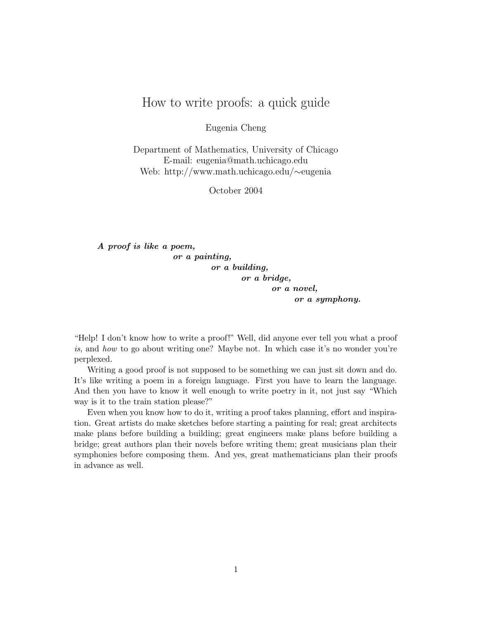## How to write proofs: a quick guide

Eugenia Cheng

Department of Mathematics, University of Chicago E-mail: eugenia@math.uchicago.edu Web: http://www.math.uchicago.edu/∼eugenia

October 2004

A proof is like a poem, or a painting, or a building, or a bridge, or a novel, or a symphony.

"Help! I don't know how to write a proof!" Well, did anyone ever tell you what a proof is, and how to go about writing one? Maybe not. In which case it's no wonder you're perplexed.

Writing a good proof is not supposed to be something we can just sit down and do. It's like writing a poem in a foreign language. First you have to learn the language. And then you have to know it well enough to write poetry in it, not just say "Which way is it to the train station please?"

Even when you know how to do it, writing a proof takes planning, effort and inspiration. Great artists do make sketches before starting a painting for real; great architects make plans before building a building; great engineers make plans before building a bridge; great authors plan their novels before writing them; great musicians plan their symphonies before composing them. And yes, great mathematicians plan their proofs in advance as well.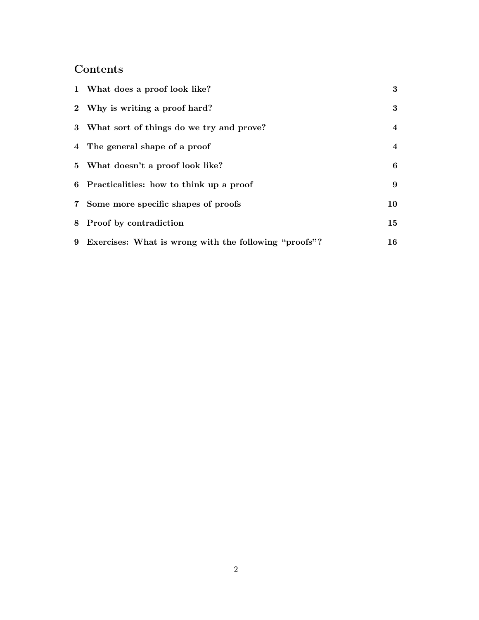## Contents

| 1 What does a proof look like?                          | 3                       |
|---------------------------------------------------------|-------------------------|
| 2 Why is writing a proof hard?                          | 3                       |
| 3 What sort of things do we try and prove?              | $\overline{4}$          |
| 4 The general shape of a proof                          | $\overline{\mathbf{4}}$ |
| 5 What doesn't a proof look like?                       | 6                       |
| 6 Practicalities: how to think up a proof               | 9                       |
| 7 Some more specific shapes of proofs                   | 10                      |
| 8 Proof by contradiction                                | 15                      |
| 9 Exercises: What is wrong with the following "proofs"? | 16                      |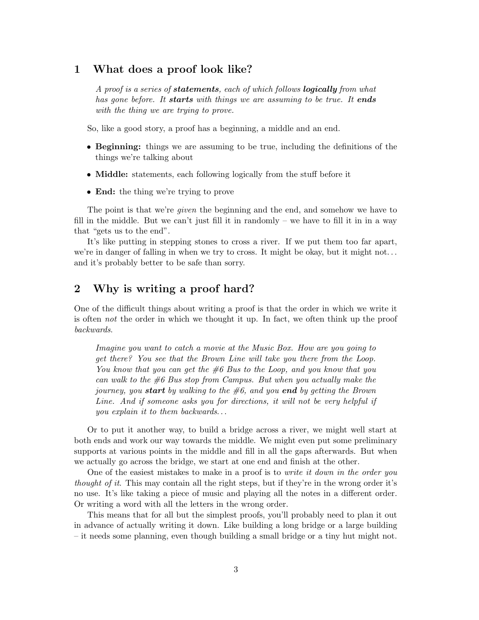### 1 What does a proof look like?

A proof is a series of **statements**, each of which follows **logically** from what has gone before. It **starts** with things we are assuming to be true. It ends with the thing we are trying to prove.

So, like a good story, a proof has a beginning, a middle and an end.

- Beginning: things we are assuming to be true, including the definitions of the things we're talking about
- Middle: statements, each following logically from the stuff before it
- **End:** the thing we're trying to prove

The point is that we're given the beginning and the end, and somehow we have to fill in the middle. But we can't just fill it in randomly – we have to fill it in in a way that "gets us to the end".

It's like putting in stepping stones to cross a river. If we put them too far apart, we're in danger of falling in when we try to cross. It might be okay, but it might not. . . and it's probably better to be safe than sorry.

## 2 Why is writing a proof hard?

One of the difficult things about writing a proof is that the order in which we write it is often not the order in which we thought it up. In fact, we often think up the proof backwards.

Imagine you want to catch a movie at the Music Box. How are you going to get there? You see that the Brown Line will take you there from the Loop. You know that you can get the  $\#6$  Bus to the Loop, and you know that you can walk to the  $\#6$  Bus stop from Campus. But when you actually make the journey, you **start** by walking to the  $\#6$ , and you **end** by getting the Brown Line. And if someone asks you for directions, it will not be very helpful if you explain it to them backwards. . .

Or to put it another way, to build a bridge across a river, we might well start at both ends and work our way towards the middle. We might even put some preliminary supports at various points in the middle and fill in all the gaps afterwards. But when we actually go across the bridge, we start at one end and finish at the other.

One of the easiest mistakes to make in a proof is to *write it down in the order you* thought of it. This may contain all the right steps, but if they're in the wrong order it's no use. It's like taking a piece of music and playing all the notes in a different order. Or writing a word with all the letters in the wrong order.

This means that for all but the simplest proofs, you'll probably need to plan it out in advance of actually writing it down. Like building a long bridge or a large building – it needs some planning, even though building a small bridge or a tiny hut might not.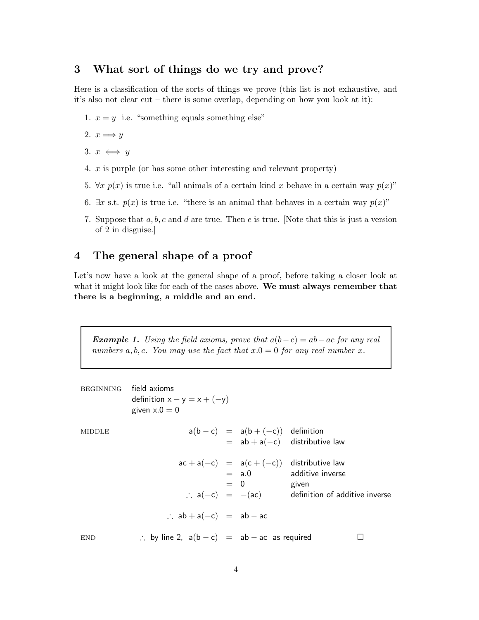## 3 What sort of things do we try and prove?

Here is a classification of the sorts of things we prove (this list is not exhaustive, and it's also not clear cut – there is some overlap, depending on how you look at it):

1.  $x = y$  i.e. "something equals something else"

2. 
$$
x \Longrightarrow y
$$

3. 
$$
x \iff y
$$

- 4. x is purple (or has some other interesting and relevant property)
- 5.  $\forall x \ p(x)$  is true i.e. "all animals of a certain kind x behave in a certain way  $p(x)$ "
- 6.  $\exists x \text{ s.t. } p(x)$  is true i.e. "there is an animal that behaves in a certain way  $p(x)$ "
- 7. Suppose that  $a, b, c$  and  $d$  are true. Then  $e$  is true. [Note that this is just a version of 2 in disguise.]

## 4 The general shape of a proof

Let's now have a look at the general shape of a proof, before taking a closer look at what it might look like for each of the cases above. We must always remember that there is a beginning, a middle and an end.

**Example 1.** Using the field axioms, prove that  $a(b-c) = ab-ac$  for any real numbers a, b, c. You may use the fact that  $x.0 = 0$  for any real number x.

| <b>BEGINNING</b> | field axioms<br>definition $x - y = x + (-y)$<br>given $x.0 = 0$ |                                 |                                                                                  |
|------------------|------------------------------------------------------------------|---------------------------------|----------------------------------------------------------------------------------|
| MIDDLE           |                                                                  | $a(b-c) = a(b+(-c))$ definition | $=$ ab + a(-c) distributive law                                                  |
|                  |                                                                  | $= 0$                           | $ac + a(-c) = a(c + (-c))$ distributive law<br>$=$ a.0 additive inverse<br>given |
|                  |                                                                  |                                 | $\therefore$ a(-c) = -(ac) definition of additive inverse                        |
|                  | $\therefore$ ab + a(-c) = ab - ac                                |                                 |                                                                                  |
| <b>END</b>       | $\therefore$ by line 2, $a(b - c) = ab - ac$ as required         |                                 |                                                                                  |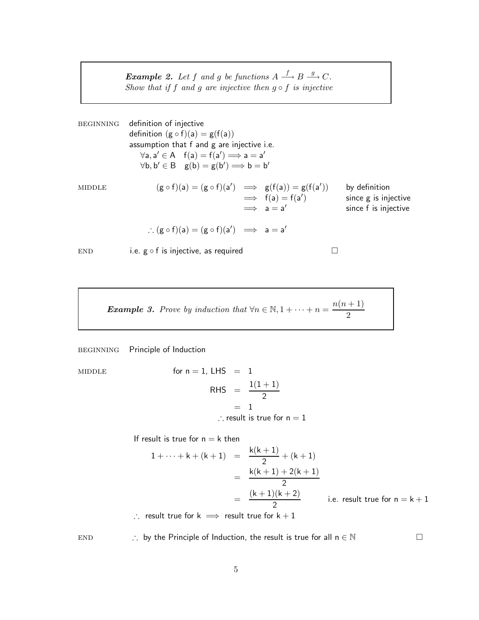**Example 2.** Let f and g be functions  $A \xrightarrow{f} B \xrightarrow{g} C$ . Show that if f and g are injective then  $g \circ f$  is injective

beginning definition of injective definition  $(g \circ f)(a) = g(f(a))$ assumption that f and g are injective i.e.  $\forall a, a' \in A$   $f(a) = f(a') \Longrightarrow a = a'$  $\forall b, b' \in B \quad g(b) = g(b') \Longrightarrow b = b'$ MIDDLE  $(g \circ f)(a) = (g \circ f)(a') \implies g(f(a)) = g(f(a'))$ by definition  $\implies$  f(a) = f(a) since g is injective  $\implies a = a'$ since f is injective ∴  $(g \circ f)(a) = (g \circ f)(a') \implies a = a'$  $END$  i.e.  $g \circ f$  is injective, as required  $\square$ 

**Example 3.** Prove by induction that  $\forall n \in \mathbb{N}, 1 + \cdots + n = \frac{n(n+1)}{2}$ 2

beginning Principle of Induction

 $MIDDLE$  for

n = 1, LHS = 1  
RHS = 
$$
\frac{1(1+1)}{2}
$$
  
= 1  
∴ result is true for n = 1

If result is true for  $n = k$  then

$$
1 + \dots + k + (k + 1) = \frac{k(k + 1)}{2} + (k + 1)
$$
  
= 
$$
\frac{k(k + 1) + 2(k + 1)}{2}
$$
  
= 
$$
\frac{(k + 1)(k + 2)}{2}
$$
 i.e. result true for n = k + 1

∴ result true for  $k \implies$  result true for  $k + 1$ 

END ∴ by the Principle of Induction, the result is true for all  $n \in \mathbb{N}$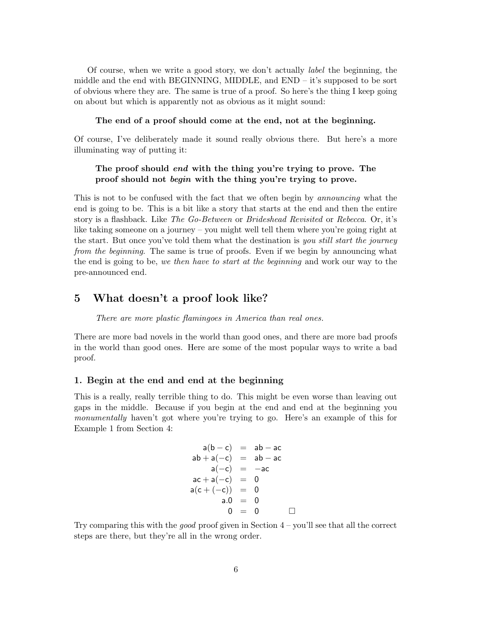Of course, when we write a good story, we don't actually label the beginning, the middle and the end with BEGINNING, MIDDLE, and  $END - it$ 's supposed to be sort of obvious where they are. The same is true of a proof. So here's the thing I keep going on about but which is apparently not as obvious as it might sound:

#### The end of a proof should come at the end, not at the beginning.

Of course, I've deliberately made it sound really obvious there. But here's a more illuminating way of putting it:

#### The proof should end with the thing you're trying to prove. The proof should not begin with the thing you're trying to prove.

This is not to be confused with the fact that we often begin by announcing what the end is going to be. This is a bit like a story that starts at the end and then the entire story is a flashback. Like The Go-Between or Brideshead Revisited or Rebecca. Or, it's like taking someone on a journey – you might well tell them where you're going right at the start. But once you've told them what the destination is you still start the journey from the beginning. The same is true of proofs. Even if we begin by announcing what the end is going to be, we then have to start at the beginning and work our way to the pre-announced end.

### 5 What doesn't a proof look like?

There are more plastic flamingoes in America than real ones.

There are more bad novels in the world than good ones, and there are more bad proofs in the world than good ones. Here are some of the most popular ways to write a bad proof.

#### 1. Begin at the end and end at the beginning

This is a really, really terrible thing to do. This might be even worse than leaving out gaps in the middle. Because if you begin at the end and end at the beginning you monumentally haven't got where you're trying to go. Here's an example of this for Example 1 from Section 4:

$$
a(b - c) = ab - ac
$$
  
\n
$$
ab + a(-c) = ab - ac
$$
  
\n
$$
a(-c) = -ac
$$
  
\n
$$
ac + a(-c) = 0
$$
  
\n
$$
a(c + (-c)) = 0
$$
  
\n
$$
a.0 = 0
$$
  
\n
$$
0 = 0
$$

Try comparing this with the good proof given in Section  $4$  – you'll see that all the correct steps are there, but they're all in the wrong order.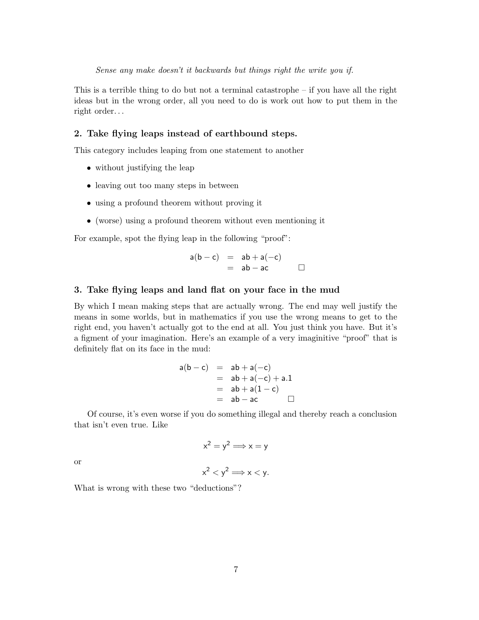This is a terrible thing to do but not a terminal catastrophe  $-$  if you have all the right ideas but in the wrong order, all you need to do is work out how to put them in the right order. . .

#### 2. Take flying leaps instead of earthbound steps.

This category includes leaping from one statement to another

- without justifying the leap
- leaving out too many steps in between
- using a profound theorem without proving it
- (worse) using a profound theorem without even mentioning it

For example, spot the flying leap in the following "proof":

$$
a(b-c) = ab + a(-c)
$$
  
= ab - ac

#### 3. Take flying leaps and land flat on your face in the mud

By which I mean making steps that are actually wrong. The end may well justify the means in some worlds, but in mathematics if you use the wrong means to get to the right end, you haven't actually got to the end at all. You just think you have. But it's a figment of your imagination. Here's an example of a very imaginitive "proof" that is definitely flat on its face in the mud:

$$
a(b - c) = ab + a(-c) \n= ab + a(-c) + a.1 \n= ab + a(1 - c) \n= ab - ac \square
$$

Of course, it's even worse if you do something illegal and thereby reach a conclusion that isn't even true. Like

$$
x^2 = y^2 \Longrightarrow x = y
$$

or

$$
x^2 < y^2 \Longrightarrow x < y.
$$

What is wrong with these two "deductions"?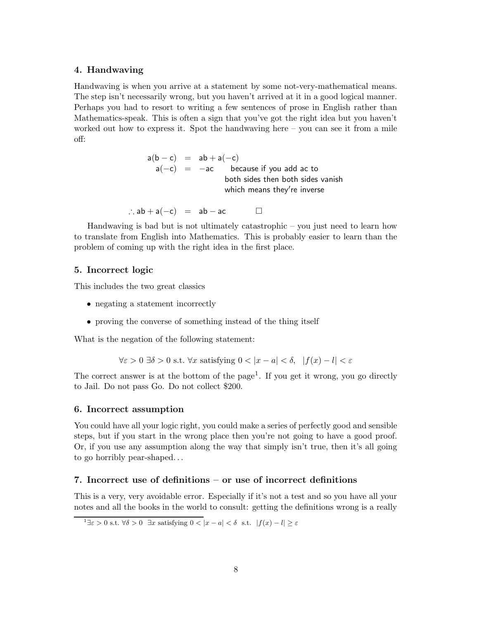#### 4. Handwaving

Handwaving is when you arrive at a statement by some not-very-mathematical means. The step isn't necessarily wrong, but you haven't arrived at it in a good logical manner. Perhaps you had to resort to writing a few sentences of prose in English rather than Mathematics-speak. This is often a sign that you've got the right idea but you haven't worked out how to express it. Spot the handwaving here – you can see it from a mile off:

> $a(b - c) = ab + a(-c)$  $\mathsf{a}(-\mathsf{c})$  =  $-\mathsf{ac}$  because if you add ac to both sides then both sides vanish which means they're inverse

∴  $ab + a(-c) = ab - ac$ 

Handwaving is bad but is not ultimately catastrophic – you just need to learn how to translate from English into Mathematics. This is probably easier to learn than the problem of coming up with the right idea in the first place.

#### 5. Incorrect logic

This includes the two great classics

- negating a statement incorrectly
- proving the converse of something instead of the thing itself

What is the negation of the following statement:

$$
\forall \varepsilon > 0 \,\,\exists \delta > 0 \,\,\text{s.t.} \,\,\forall x \,\,\text{satisfying}\,\, 0 < |x - a| < \delta, \,\, |f(x) - l| < \varepsilon
$$

The correct answer is at the bottom of the page<sup>1</sup>. If you get it wrong, you go directly to Jail. Do not pass Go. Do not collect \$200.

#### 6. Incorrect assumption

You could have all your logic right, you could make a series of perfectly good and sensible steps, but if you start in the wrong place then you're not going to have a good proof. Or, if you use any assumption along the way that simply isn't true, then it's all going to go horribly pear-shaped. . .

#### 7. Incorrect use of definitions – or use of incorrect definitions

This is a very, very avoidable error. Especially if it's not a test and so you have all your notes and all the books in the world to consult: getting the definitions wrong is a really

<sup>&</sup>lt;sup>1</sup> $\exists \varepsilon > 0$  s.t.  $\forall \delta > 0$   $\exists x$  satisfying  $0 < |x - a| < \delta$  s.t.  $|f(x) - l| \ge \varepsilon$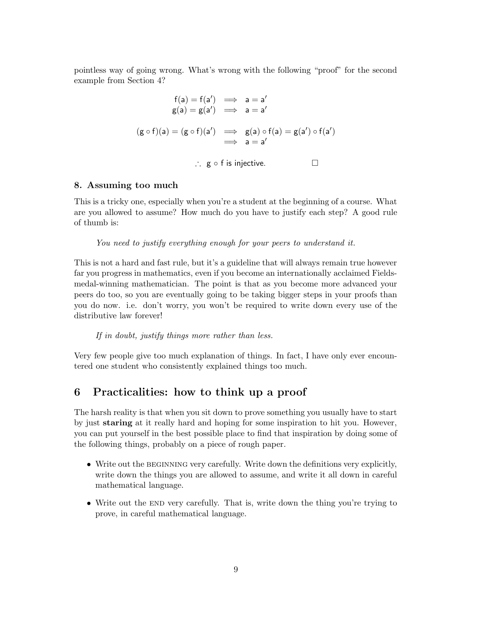pointless way of going wrong. What's wrong with the following "proof" for the second example from Section 4?

$$
f(a) = f(a') \implies a = a'
$$
  
\n
$$
g(a) = g(a') \implies a = a'
$$
  
\n
$$
(g \circ f)(a) = (g \circ f)(a') \implies g(a) \circ f(a) = g(a') \circ f(a')
$$
  
\n
$$
\implies a = a'
$$
  
\n
$$
\therefore g \circ f \text{ is injective.} \qquad \Box
$$

#### 8. Assuming too much

This is a tricky one, especially when you're a student at the beginning of a course. What are you allowed to assume? How much do you have to justify each step? A good rule of thumb is:

You need to justify everything enough for your peers to understand it.

This is not a hard and fast rule, but it's a guideline that will always remain true however far you progress in mathematics, even if you become an internationally acclaimed Fieldsmedal-winning mathematician. The point is that as you become more advanced your peers do too, so you are eventually going to be taking bigger steps in your proofs than you do now. i.e. don't worry, you won't be required to write down every use of the distributive law forever!

If in doubt, justify things more rather than less.

Very few people give too much explanation of things. In fact, I have only ever encountered one student who consistently explained things too much.

### 6 Practicalities: how to think up a proof

The harsh reality is that when you sit down to prove something you usually have to start by just staring at it really hard and hoping for some inspiration to hit you. However, you can put yourself in the best possible place to find that inspiration by doing some of the following things, probably on a piece of rough paper.

- Write out the BEGINNING very carefully. Write down the definitions very explicitly, write down the things you are allowed to assume, and write it all down in careful mathematical language.
- Write out the END very carefully. That is, write down the thing you're trying to prove, in careful mathematical language.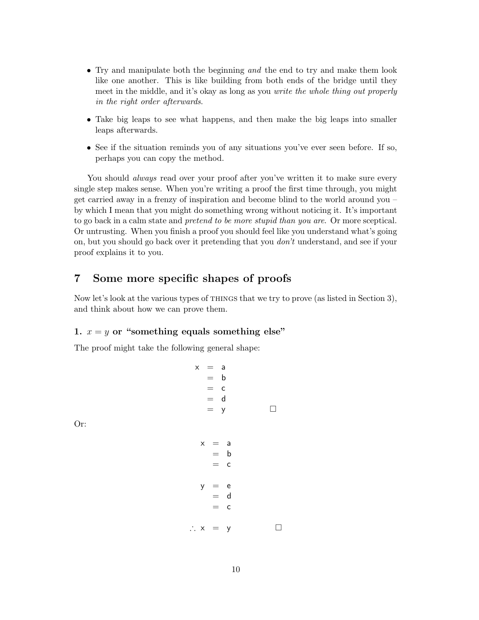- Try and manipulate both the beginning and the end to try and make them look like one another. This is like building from both ends of the bridge until they meet in the middle, and it's okay as long as you write the whole thing out properly in the right order afterwards.
- Take big leaps to see what happens, and then make the big leaps into smaller leaps afterwards.
- See if the situation reminds you of any situations you've ever seen before. If so, perhaps you can copy the method.

You should *always* read over your proof after you've written it to make sure every single step makes sense. When you're writing a proof the first time through, you might get carried away in a frenzy of inspiration and become blind to the world around you – by which I mean that you might do something wrong without noticing it. It's important to go back in a calm state and pretend to be more stupid than you are. Or more sceptical. Or untrusting. When you finish a proof you should feel like you understand what's going on, but you should go back over it pretending that you don't understand, and see if your proof explains it to you.

## 7 Some more specific shapes of proofs

Now let's look at the various types of things that we try to prove (as listed in Section 3), and think about how we can prove them.

### 1.  $x = y$  or "something equals something else"

The proof might take the following general shape:

Or:

 $x = a$  $=$  b  $=$   $\circ$ = d  $= y$   $\Box$  $x = a$  $=$  b  $=$   $\circ$  $y = e$  $=$  d  $=$   $\circ$  $\therefore$  x = y  $\Box$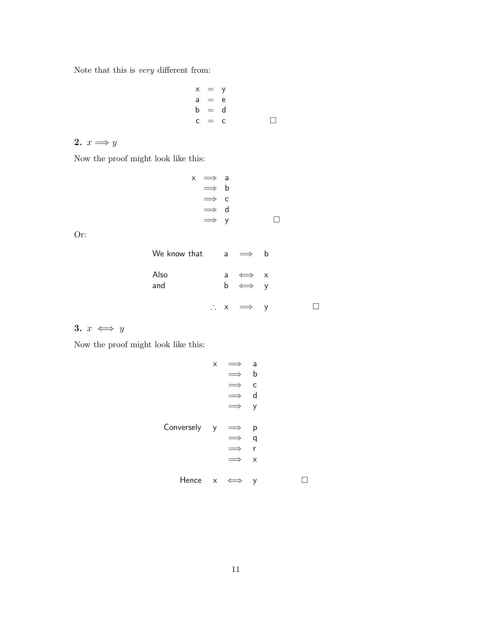Note that this is very different from:

$$
\begin{array}{rcl}\nx & = & y \\
a & = & e \\
b & = & d \\
c & = & c\n\end{array}
$$

## 2.  $x \Longrightarrow y$

Now the proof might look like this:

$$
\begin{array}{rcl}\nx & \Longrightarrow & a \\
\Longrightarrow & b \\
\Longrightarrow & c \\
\Longrightarrow & d \\
\Longrightarrow & y \end{array} \quad \Box
$$

Or:

| We know that |  | $a \implies b$                     |  |
|--------------|--|------------------------------------|--|
| Also<br>and  |  | a $\iff$ x<br>$b \iff y$           |  |
|              |  | $\therefore$ $\times$ $\implies$ y |  |

## 3.  $x \iff y$

Now the proof might look like this:

$$
x \implies a
$$
\n
$$
\implies b
$$
\n
$$
\implies c
$$
\n
$$
\implies d
$$
\n
$$
\implies y
$$
\n
$$
\implies y
$$
\n
$$
\implies q
$$
\n
$$
\implies r
$$
\n
$$
\implies x
$$
\n
$$
\text{Hence } x \iff y
$$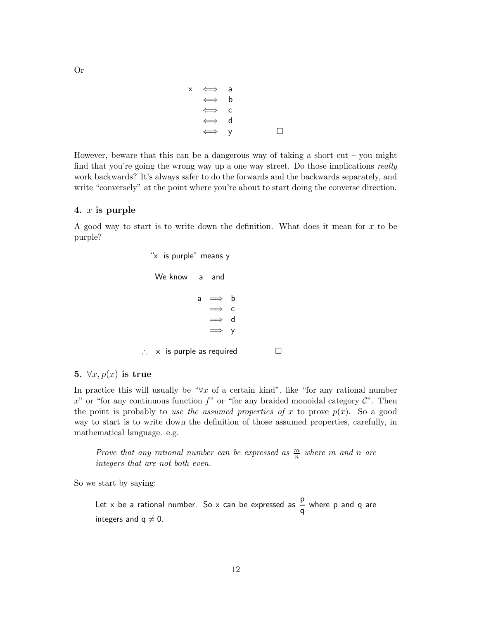$$
\begin{array}{rcl}\nx & \Longleftrightarrow & a \\
\Longleftrightarrow & b \\
\Longleftrightarrow & c \\
\Longleftrightarrow & d \\
\Longleftrightarrow & y\n\end{array}
$$

However, beware that this can be a dangerous way of taking a short cut – you might find that you're going the wrong way up a one way street. Do those implications *really* work backwards? It's always safer to do the forwards and the backwards separately, and write "conversely" at the point where you're about to start doing the converse direction.

#### 4. x is purple

A good way to start is to write down the definition. What does it mean for x to be purple?

> "x is purple" means y We know a and a  $\implies$  b =⇒ c =⇒ d =⇒ y ∴ x is purple as required  $□$

#### 5.  $\forall x, p(x)$  is true

In practice this will usually be " $\forall x$  of a certain kind", like "for any rational number  $x^{\prime\prime}$  or "for any continuous function  $f^{\prime\prime}$  or "for any braided monoidal category  $\mathcal{C}^{\prime\prime}$ . Then the point is probably to use the assumed properties of x to prove  $p(x)$ . So a good way to start is to write down the definition of those assumed properties, carefully, in mathematical language. e.g.

Prove that any rational number can be expressed as  $\frac{m}{n}$  where m and n are integers that are not both even.

So we start by saying:

Let  $\times$  be a rational number. So  $\times$  can be expressed as  $\frac{{\sf p}}{-}$  $\frac{\mathsf{P}}{\mathsf{q}}$  where p and q are integers and  $q \neq 0$ .

Or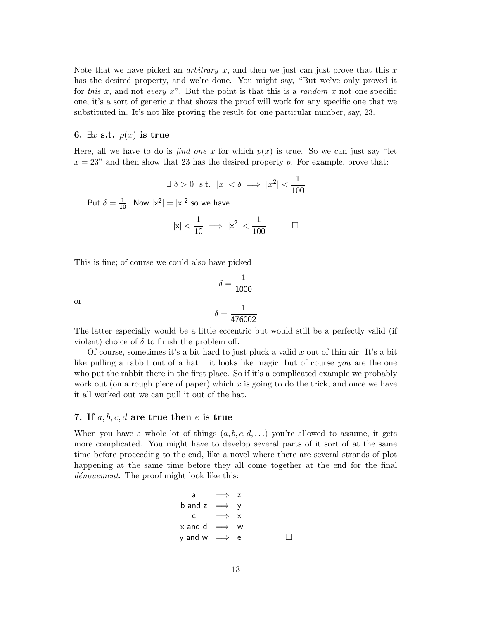Note that we have picked an *arbitrary x*, and then we just can just prove that this x has the desired property, and we're done. You might say, "But we've only proved it for this x, and not every x". But the point is that this is a random x not one specific one, it's a sort of generic x that shows the proof will work for any specific one that we substituted in. It's not like proving the result for one particular number, say, 23.

#### 6.  $\exists x \text{ s.t. } p(x)$  is true

Here, all we have to do is find one x for which  $p(x)$  is true. So we can just say "let  $x = 23$ " and then show that 23 has the desired property p. For example, prove that:

$$
\exists \delta > 0 \text{ s.t. } |x| < \delta \implies |x^2| < \frac{1}{100}
$$

Put  $\delta = \frac{1}{10}$ . Now  $|x^2| = |x|^2$  so we have

$$
|x|<\frac{1}{10}\implies |x^2|<\frac{1}{100}\hspace{1cm}\square
$$

This is fine; of course we could also have picked

$$
\delta = \frac{1}{1000}
$$

$$
\delta = \frac{1}{476002}
$$

or

The latter especially would be a little eccentric but would still be a perfectly valid (if violent) choice of  $\delta$  to finish the problem off.

Of course, sometimes it's a bit hard to just pluck a valid  $x$  out of thin air. It's a bit like pulling a rabbit out of a hat – it looks like magic, but of course you are the one who put the rabbit there in the first place. So if it's a complicated example we probably work out (on a rough piece of paper) which x is going to do the trick, and once we have it all worked out we can pull it out of the hat.

#### 7. If  $a, b, c, d$  are true then e is true

When you have a whole lot of things  $(a, b, c, d, ...)$  you're allowed to assume, it gets more complicated. You might have to develop several parts of it sort of at the same time before proceeding to the end, like a novel where there are several strands of plot happening at the same time before they all come together at the end for the final dénouement. The proof might look like this:

$$
a \implies z
$$
\n
$$
b \text{ and } z \implies y
$$
\n
$$
c \implies x
$$
\n
$$
x \text{ and } d \implies w
$$
\n
$$
y \text{ and } w \implies e \qquad \Box
$$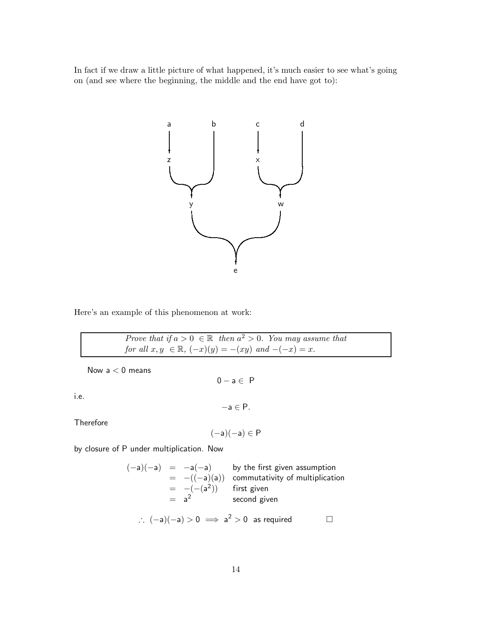In fact if we draw a little picture of what happened, it's much easier to see what's going on (and see where the beginning, the middle and the end have got to):



Here's an example of this phenomenon at work:

Prove that if  $a > 0 \in \mathbb{R}$  then  $a^2 > 0$ . You may assume that for all  $x, y \in \mathbb{R}$ ,  $(-x)(y) = -(xy)$  and  $-(-x) = x$ .

Now  $a < 0$  means

i.e.

 $-a \in P$ .

 $0 - a \in P$ 

Therefore

$$
(-\mathsf{a})(-\mathsf{a})\in P
$$

by closure of P under multiplication. Now

$$
(-a)(-a) = -a(-a) \qquad \text{by the first given assumption}
$$
  
= -((-a)(a)) commutativity of multiplication  
= -(-(a<sup>2</sup>)) \qquad \text{first given}  
= a<sup>2</sup> \qquad \text{second given}  
  

$$
\therefore (-a)(-a) > 0 \implies a2 > 0 \text{ as required} \qquad \Box
$$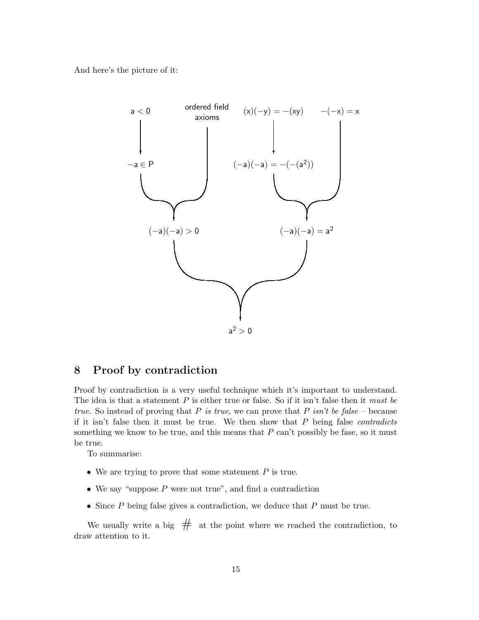And here's the picture of it:



## 8 Proof by contradiction

Proof by contradiction is a very useful technique which it's important to understand. The idea is that a statement  $P$  is either true or false. So if it isn't false then it *must be* true. So instead of proving that P is true, we can prove that P isn't be false – because if it isn't false then it must be true. We then show that  $P$  being false *contradicts* something we know to be true, and this means that  $P$  can't possibly be fase, so it must be true.

To summarise:

- We are trying to prove that some statement  $P$  is true.
- We say "suppose  $P$  were not true", and find a contradiction
- Since  $P$  being false gives a contradiction, we deduce that  $P$  must be true.

We usually write a big  $#$  at the point where we reached the contradiction, to draw attention to it.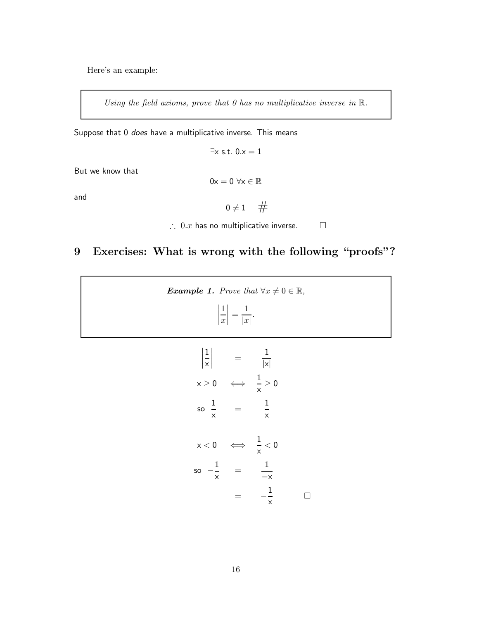Here's an example:

Using the field axioms, prove that  $0$  has no multiplicative inverse in  $\mathbb{R}$ .

Suppose that 0 does have a multiplicative inverse. This means

 $\exists x \text{ s.t. } 0.x = 1$ 

But we know that

$$
0x=0\ \forall x\in\mathbb{R}
$$

and

$$
0\neq 1\quad \ \#
$$

∴ 0. $x$  has no multiplicative inverse.  $□$ 

# 9 Exercises: What is wrong with the following "proofs"?

| <b>Example 1.</b> Prove that $\forall x \neq 0 \in \mathbb{R}$ ,<br>$\left \frac{1}{x}\right  = \frac{1}{ x }.$                                                                 |  |
|---------------------------------------------------------------------------------------------------------------------------------------------------------------------------------|--|
| $\left \frac{1}{x}\right $ = $\frac{1}{ x }$<br>$\mathsf{x} \geq \mathsf{0} \quad \iff \quad \frac{\mathsf{1}}{\mathsf{x}} \geq \mathsf{0}$<br>so $\frac{1}{x}$ = $\frac{1}{x}$ |  |
| $x < 0 \quad \Longleftrightarrow \quad \frac{1}{x} < 0$<br>so $-\frac{1}{x}$ = $\frac{1}{-x}$<br>$-\frac{1}{x}$<br>$=$                                                          |  |